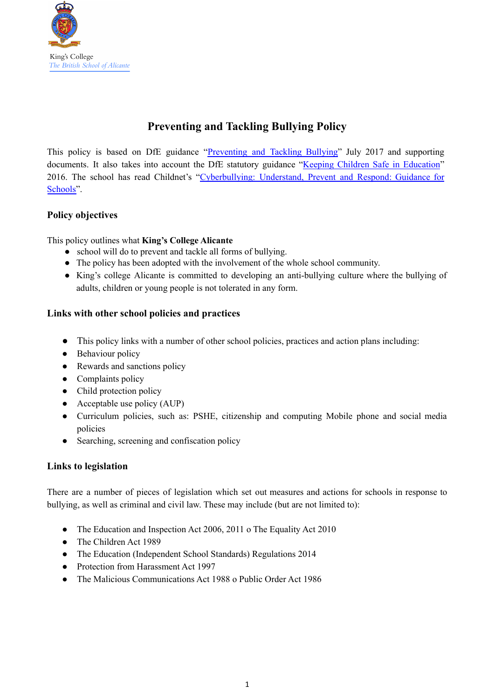

# **Preventing and Tackling Bullying Policy**

This policy is based on DfE guidance "Preventing and Tackling Bullying" July 2017 and supporting documents. It also takes into account the DfE statutory guidance "Keeping Children Safe in [Education](https://www.gov.uk/government/publications/keeping-children-safe-in-education--2)" 2016. The school has read Childnet's "Cyberbullying: Understand, Prevent and Respond: Guidance for Schools".

#### **Policy objectives**

This policy outlines what **King's College Alicante**

- school will do to prevent and tackle all forms of bullying.
- The policy has been adopted with the involvement of the whole school community.
- King's college Alicante is committed to developing an anti-bullying culture where the bullying of adults, children or young people is not tolerated in any form.

#### **Links with other school policies and practices**

- This policy links with a number of other school policies, practices and action plans including:
- Behaviour policy
- Rewards and sanctions policy
- Complaints policy
- Child protection policy
- $\bullet$  Acceptable use policy (AUP)
- Curriculum policies, such as: PSHE, citizenship and computing Mobile phone and social media policies
- Searching, screening and confiscation policy

#### **Links to legislation**

There are a number of pieces of legislation which set out measures and actions for schools in response to bullying, as well as criminal and civil law. These may include (but are not limited to):

- The Education and Inspection Act 2006, 2011 o The Equality Act 2010
- The Children Act 1989
- The Education (Independent School Standards) Regulations 2014
- Protection from Harassment Act 1997
- The Malicious Communications Act 1988 o Public Order Act 1986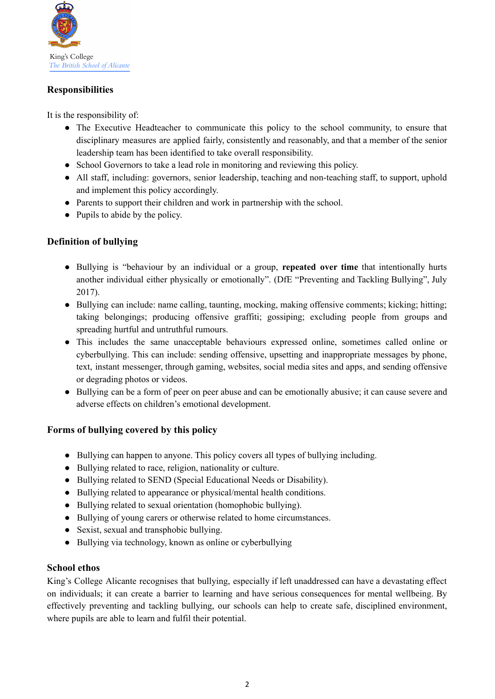

## **Responsibilities**

It is the responsibility of:

- The Executive Headteacher to communicate this policy to the school community, to ensure that disciplinary measures are applied fairly, consistently and reasonably, and that a member of the senior leadership team has been identified to take overall responsibility.
- School Governors to take a lead role in monitoring and reviewing this policy.
- All staff, including: governors, senior leadership, teaching and non-teaching staff, to support, uphold and implement this policy accordingly.
- Parents to support their children and work in partnership with the school.
- Pupils to abide by the policy.

## **Definition of bullying**

- Bullying is "behaviour by an individual or a group, **repeated over time** that intentionally hurts another individual either physically or emotionally". (DfE "Preventing and Tackling Bullying", July 2017).
- Bullying can include: name calling, taunting, mocking, making offensive comments; kicking; hitting; taking belongings; producing offensive graffiti; gossiping; excluding people from groups and spreading hurtful and untruthful rumours.
- This includes the same unacceptable behaviours expressed online, sometimes called online or cyberbullying. This can include: sending offensive, upsetting and inappropriate messages by phone, text, instant messenger, through gaming, websites, social media sites and apps, and sending offensive or degrading photos or videos.
- Bullying can be a form of peer on peer abuse and can be emotionally abusive; it can cause severe and adverse effects on children's emotional development.

## **Forms of bullying covered by this policy**

- Bullying can happen to anyone. This policy covers all types of bullying including.
- Bullying related to race, religion, nationality or culture.
- Bullying related to SEND (Special Educational Needs or Disability).
- Bullying related to appearance or physical/mental health conditions.
- Bullying related to sexual orientation (homophobic bullying).
- Bullying of young carers or otherwise related to home circumstances.
- Sexist, sexual and transphobic bullying.
- Bullying via technology, known as online or cyberbullying

## **School ethos**

King's College Alicante recognises that bullying, especially if left unaddressed can have a devastating effect on individuals; it can create a barrier to learning and have serious consequences for mental wellbeing. By effectively preventing and tackling bullying, our schools can help to create safe, disciplined environment, where pupils are able to learn and fulfil their potential.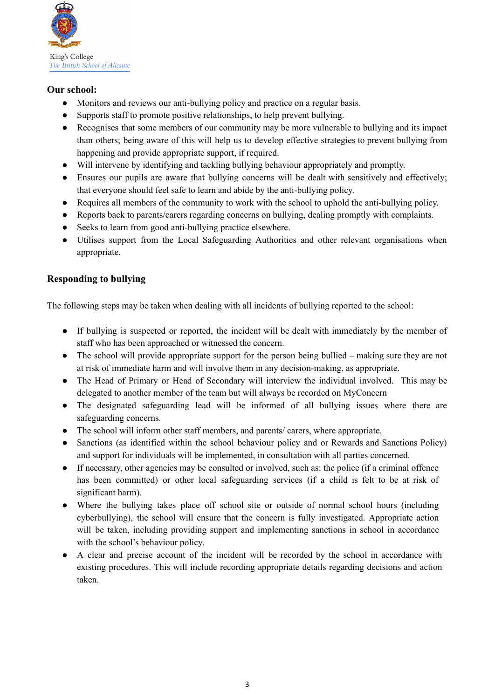

#### **Our school:**

- Monitors and reviews our anti-bullying policy and practice on a regular basis.
- Supports staff to promote positive relationships, to help prevent bullying.
- Recognises that some members of our community may be more vulnerable to bullying and its impact than others; being aware of this will help us to develop effective strategies to prevent bullying from happening and provide appropriate support, if required.
- Will intervene by identifying and tackling bullying behaviour appropriately and promptly.
- Ensures our pupils are aware that bullying concerns will be dealt with sensitively and effectively; that everyone should feel safe to learn and abide by the anti-bullying policy.
- Requires all members of the community to work with the school to uphold the anti-bullying policy.
- Reports back to parents/carers regarding concerns on bullying, dealing promptly with complaints.
- Seeks to learn from good anti-bullying practice elsewhere.
- Utilises support from the Local Safeguarding Authorities and other relevant organisations when appropriate.

## **Responding to bullying**

The following steps may be taken when dealing with all incidents of bullying reported to the school:

- If bullying is suspected or reported, the incident will be dealt with immediately by the member of staff who has been approached or witnessed the concern.
- The school will provide appropriate support for the person being bullied making sure they are not at risk of immediate harm and will involve them in any decision-making, as appropriate.
- The Head of Primary or Head of Secondary will interview the individual involved. This may be delegated to another member of the team but will always be recorded on MyConcern
- The designated safeguarding lead will be informed of all bullying issues where there are safeguarding concerns.
- The school will inform other staff members, and parents/ carers, where appropriate.
- Sanctions (as identified within the school behaviour policy and or Rewards and Sanctions Policy) and support for individuals will be implemented, in consultation with all parties concerned.
- If necessary, other agencies may be consulted or involved, such as: the police (if a criminal offence has been committed) or other local safeguarding services (if a child is felt to be at risk of significant harm).
- Where the bullying takes place off school site or outside of normal school hours (including cyberbullying), the school will ensure that the concern is fully investigated. Appropriate action will be taken, including providing support and implementing sanctions in school in accordance with the school's behaviour policy.
- A clear and precise account of the incident will be recorded by the school in accordance with existing procedures. This will include recording appropriate details regarding decisions and action taken.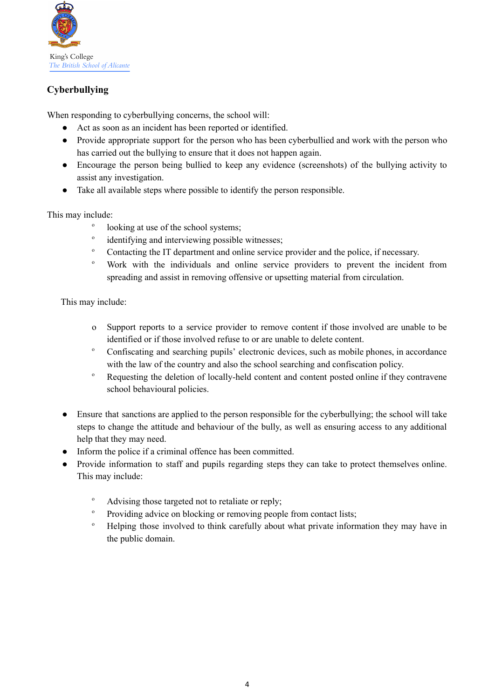

# **Cyberbullying**

When responding to cyberbullying concerns, the school will:

- Act as soon as an incident has been reported or identified.
- Provide appropriate support for the person who has been cyberbullied and work with the person who has carried out the bullying to ensure that it does not happen again.
- Encourage the person being bullied to keep any evidence (screenshots) of the bullying activity to assist any investigation.
- Take all available steps where possible to identify the person responsible.

This may include:

- o looking at use of the school systems;
- o identifying and interviewing possible witnesses;
- <sup>o</sup> Contacting the IT department and online service provider and the police, if necessary.
- <sup>o</sup> Work with the individuals and online service providers to prevent the incident from spreading and assist in removing offensive or upsetting material from circulation.

This may include:

- o Support reports to a service provider to remove content if those involved are unable to be identified or if those involved refuse to or are unable to delete content.
- Confiscating and searching pupils' electronic devices, such as mobile phones, in accordance with the law of the country and also the school searching and confiscation policy.
- <sup>o</sup> Requesting the deletion of locally-held content and content posted online if they contravene school behavioural policies.
- Ensure that sanctions are applied to the person responsible for the cyberbullying; the school will take steps to change the attitude and behaviour of the bully, as well as ensuring access to any additional help that they may need.
- Inform the police if a criminal offence has been committed.
- Provide information to staff and pupils regarding steps they can take to protect themselves online. This may include:
	- <sup>o</sup> Advising those targeted not to retaliate or reply:
	- <sup>o</sup> Providing advice on blocking or removing people from contact lists:
	- <sup>o</sup> Helping those involved to think carefully about what private information they may have in the public domain.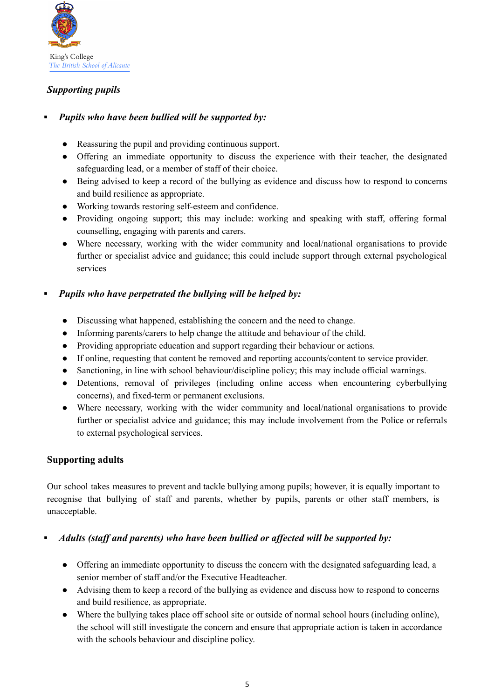

# *Supporting pupils*

## **▪** *Pupils who have been bullied will be supported by:*

- Reassuring the pupil and providing continuous support.
- Offering an immediate opportunity to discuss the experience with their teacher, the designated safeguarding lead, or a member of staff of their choice.
- Being advised to keep a record of the bullying as evidence and discuss how to respond to concerns and build resilience as appropriate.
- Working towards restoring self-esteem and confidence.
- Providing ongoing support; this may include: working and speaking with staff, offering formal counselling, engaging with parents and carers.
- Where necessary, working with the wider community and local/national organisations to provide further or specialist advice and guidance; this could include support through external psychological services

## **▪** *Pupils who have perpetrated the bullying will be helped by:*

- Discussing what happened, establishing the concern and the need to change.
- Informing parents/carers to help change the attitude and behaviour of the child.
- Providing appropriate education and support regarding their behaviour or actions.
- If online, requesting that content be removed and reporting accounts/content to service provider.
- Sanctioning, in line with school behaviour/discipline policy; this may include official warnings.
- Detentions, removal of privileges (including online access when encountering cyberbullying concerns), and fixed-term or permanent exclusions.
- Where necessary, working with the wider community and local/national organisations to provide further or specialist advice and guidance; this may include involvement from the Police or referrals to external psychological services.

## **Supporting adults**

Our school takes measures to prevent and tackle bullying among pupils; however, it is equally important to recognise that bullying of staff and parents, whether by pupils, parents or other staff members, is unacceptable.

## **▪** *Adults (staff and parents) who have been bullied or affected will be supported by:*

- Offering an immediate opportunity to discuss the concern with the designated safeguarding lead, a senior member of staff and/or the Executive Headteacher.
- Advising them to keep a record of the bullying as evidence and discuss how to respond to concerns and build resilience, as appropriate.
- Where the bullying takes place off school site or outside of normal school hours (including online), the school will still investigate the concern and ensure that appropriate action is taken in accordance with the schools behaviour and discipline policy.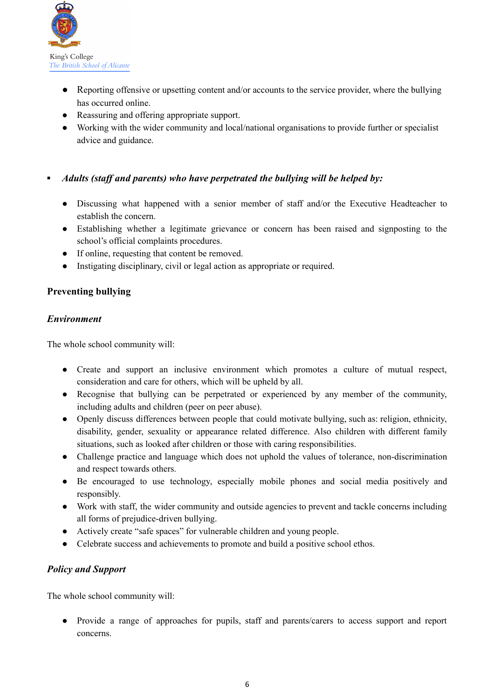

- Reporting offensive or upsetting content and/or accounts to the service provider, where the bullying has occurred online.
- Reassuring and offering appropriate support.
- Working with the wider community and local/national organisations to provide further or specialist advice and guidance.

#### **▪** *Adults (staff and parents) who have perpetrated the bullying will be helped by:*

- Discussing what happened with a senior member of staff and/or the Executive Headteacher to establish the concern.
- Establishing whether a legitimate grievance or concern has been raised and signposting to the school's official complaints procedures.
- If online, requesting that content be removed.
- Instigating disciplinary, civil or legal action as appropriate or required.

#### **Preventing bullying**

#### *Environment*

The whole school community will:

- Create and support an inclusive environment which promotes a culture of mutual respect, consideration and care for others, which will be upheld by all.
- Recognise that bullying can be perpetrated or experienced by any member of the community, including adults and children (peer on peer abuse).
- Openly discuss differences between people that could motivate bullying, such as: religion, ethnicity, disability, gender, sexuality or appearance related difference. Also children with different family situations, such as looked after children or those with caring responsibilities.
- Challenge practice and language which does not uphold the values of tolerance, non-discrimination and respect towards others.
- Be encouraged to use technology, especially mobile phones and social media positively and responsibly.
- Work with staff, the wider community and outside agencies to prevent and tackle concerns including all forms of prejudice-driven bullying.
- Actively create "safe spaces" for vulnerable children and young people.
- Celebrate success and achievements to promote and build a positive school ethos.

## *Policy and Support*

The whole school community will:

● Provide a range of approaches for pupils, staff and parents/carers to access support and report concerns.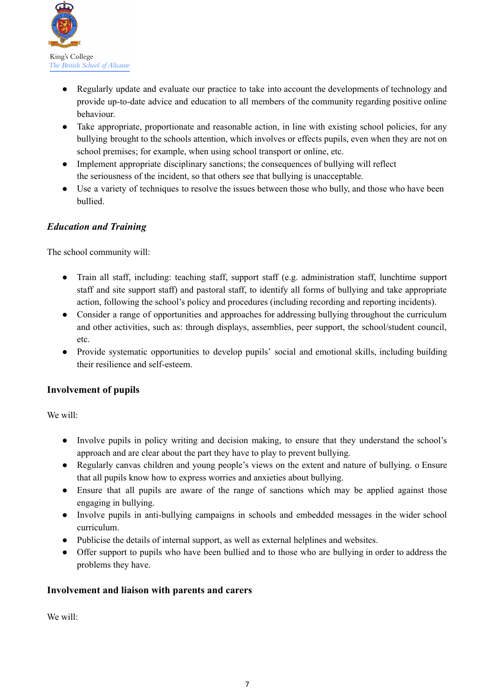

- Regularly update and evaluate our practice to take into account the developments of technology and provide up-to-date advice and education to all members of the community regarding positive online behaviour.
- Take appropriate, proportionate and reasonable action, in line with existing school policies, for any bullying brought to the schools attention, which involves or effects pupils, even when they are not on school premises; for example, when using school transport or online, etc.
- Implement appropriate disciplinary sanctions; the consequences of bullying will reflect the seriousness of the incident, so that others see that bullying is unacceptable.
- Use a variety of techniques to resolve the issues between those who bully, and those who have been bullied.

# *Education and Training*

The school community will:

- Train all staff, including: teaching staff, support staff (e.g. administration staff, lunchtime support staff and site support staff) and pastoral staff, to identify all forms of bullying and take appropriate action, following the school's policy and procedures (including recording and reporting incidents).
- Consider a range of opportunities and approaches for addressing bullying throughout the curriculum and other activities, such as: through displays, assemblies, peer support, the school/student council, etc.
- Provide systematic opportunities to develop pupils' social and emotional skills, including building their resilience and self-esteem.

## **Involvement of pupils**

We will:

- Involve pupils in policy writing and decision making, to ensure that they understand the school's approach and are clear about the part they have to play to prevent bullying.
- Regularly canvas children and young people's views on the extent and nature of bullying. o Ensure that all pupils know how to express worries and anxieties about bullying.
- Ensure that all pupils are aware of the range of sanctions which may be applied against those engaging in bullying.
- Involve pupils in anti-bullying campaigns in schools and embedded messages in the wider school curriculum.
- Publicise the details of internal support, as well as external helplines and websites.
- Offer support to pupils who have been bullied and to those who are bullying in order to address the problems they have.

## **Involvement and liaison with parents and carers**

We will: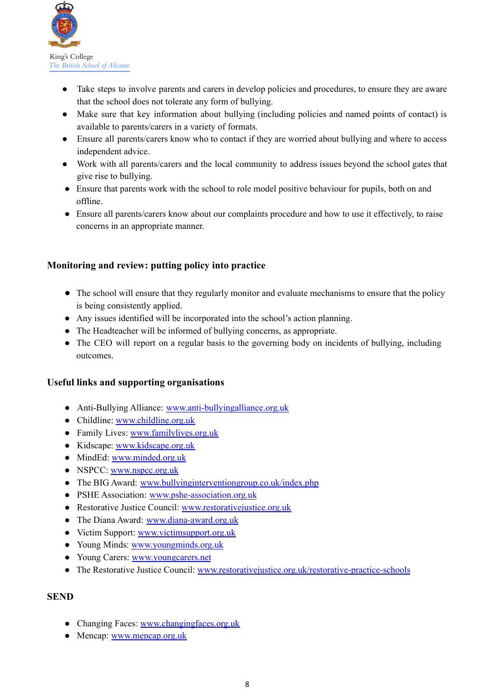

- Take steps to involve parents and carers in develop policies and procedures, to ensure they are aware that the school does not tolerate any form of bullying.
- Make sure that key information about bullying (including policies and named points of contact) is available to parents/carers in a variety of formats.
- Ensure all parents/carers know who to contact if they are worried about bullying and where to access independent advice.
- Work with all parents/carers and the local community to address issues beyond the school gates that give rise to bullying.
- Ensure that parents work with the school to role model positive behaviour for pupils, both on and offline.
- Ensure all parents/carers know about our complaints procedure and how to use it effectively, to raise concerns in an appropriate manner.

## **Monitoring and review: putting policy into practice**

- The school will ensure that they regularly monitor and evaluate mechanisms to ensure that the policy is being consistently applied.
- Any issues identified will be incorporated into the school's action planning.
- The Headteacher will be informed of bullying concerns, as appropriate.
- The CEO will report on a regular basis to the governing body on incidents of bullying, including outcomes.

#### **Useful links and supporting organisations**

- Anti-Bullying Alliance: [www.anti-bullyingalliance.org.uk](http://www.anti-bullyingalliance.org.uk/)
- Childline: [www.childline.org.uk](http://www.childline.org.uk/)
- Family Lives: [www.familylives.org.uk](http://www.familylives.org.uk/)
- Kidscape: [www.kidscape.org.uk](http://www.kidscape.org.uk/)
- MindEd: [www.minded.org.uk](http://www.minded.org.uk/)
- NSPCC: [www.nspcc.org.uk](http://www.nspcc.org.uk/)
- The BIG Award: [www.bullyinginterventiongroup.co.uk/index.php](https://www.bullyinginterventiongroup.co.uk/index.php)
- PSHE Association: [www.pshe-association.org.uk](http://www.pshe-association.org.uk/)
- Restorative Justice Council: [www.restorativejustice.org.uk](http://www.restorativejustice.org.uk/)
- The Diana Award: [www.diana-award.org.uk](http://www.diana-award.org.uk/)
- Victim Support: [www.victimsupport.org.uk](http://www.victimsupport.org.uk/)
- Young Minds: [www.youngminds.org.uk](http://www.youngminds.org.uk/)
- Young Carers: [www.youngcarers.net](http://www.youngcarers.net/)
- The Restorative Justice Council: [www.restorativejustice.org.uk/restorative-practice-schools](http://www.restorativejustice.org.uk/restorative-practice-schools)

#### **SEND**

- Changing Faces: [www.changingfaces.org.uk](http://www.changingfaces.org.uk/)
- Mencap: [www.mencap.org.uk](http://www.mencap.org.uk/)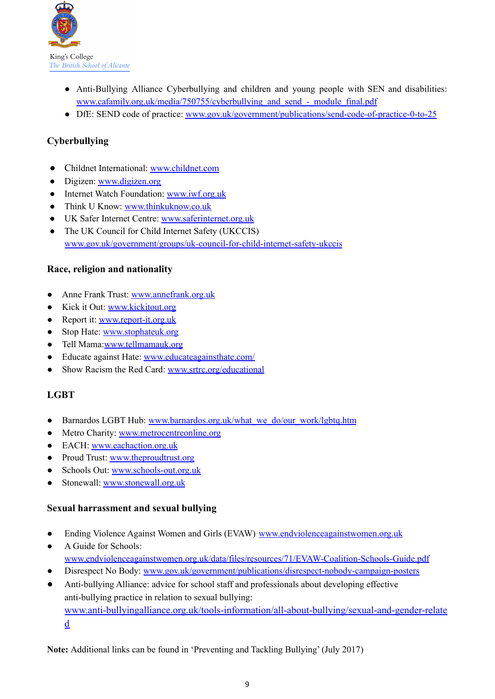

- Anti-Bullying Alliance Cyberbullying and children and young people with SEN and disabilities: [www.cafamily.org.uk/media/750755/cyberbullying\\_and\\_send\\_-\\_module\\_final.pdf](http://www.cafamily.org.uk/media/750755/cyberbullying_and_send_-_module_final.pdf)
- DfE: SEND code of practice: [www.gov.uk/government/publications/send-code-of-practice-0-to-25](https://www.gov.uk/government/publications/send-code-of-practice-0-to-25)

# **Cyberbullying**

- Childnet International: [www.childnet.com](http://www.childnet.com/)
- Digizen: [www.digizen.org](http://www.digizen.org/)
- Internet Watch Foundation: [www.iwf.org.uk](http://www.iwf.org.uk/)
- Think U Know: [www.thinkuknow.co.uk](http://www.thinkuknow.co.uk/)
- UK Safer Internet Centre: [www.saferinternet.org.uk](http://www.saferinternet.org.uk/)
- The UK Council for Child Internet Safety (UKCCIS) [www.gov.uk/government/groups/uk-council-for-child-internet-safety-ukccis](http://www.gov.uk/government/groups/uk-council-for-child-internet-safety-ukccis)

#### **Race, religion and nationality**

- Anne Frank Trust: [www.annefrank.org.uk](http://www.annefrank.org.uk/)
- Kick it Out: [www.kickitout.org](http://www.kickitout.org/)
- Report it: [www.report-it.org.uk](http://www.report-it.org.uk/)
- Stop Hate: [www.stophateuk.org](http://www.stophateuk.org/)
- Tell Mama:[www.tellmamauk.org](http://www.tellmamauk.org/)
- Educate against Hate: [www.educateagainsthate.com/](http://www.educateagainsthate.com/)
- Show Racism the Red Card: [www.srtrc.org/educational](http://www.srtrc.org/educational)

## **LGBT**

- Barnardos LGBT Hub: [www.barnardos.org.uk/what\\_we\\_do/our\\_work/lgbtq.htm](http://www.barnardos.org.uk/what_we_do/our_work/lgbtq.htm)
- Metro Charity: [www.metrocentreonline.org](http://www.metrocentreonline.org/)
- EACH: [www.eachaction.org.uk](http://www.eachaction.org.uk/)
- Proud Trust: [www.theproudtrust.org](http://www.theproudtrust.org/)
- Schools Out: [www.schools-out.org.uk](http://www.schools-out.org.uk/)
- Stonewall: [www.stonewall.org.uk](http://www.stonewall.org.uk/)

#### **Sexual harrassment and sexual bullying**

- Ending Violence Against Women and Girls (EVAW) [www.endviolenceagainstwomen.org.uk](http://www.endviolenceagainstwomen.org.uk/)
- A Guide for Schools: [www.endviolenceagainstwomen.org.uk/data/files/resources/71/EVAW-Coalition-Schools-Guide.pdf](http://www.endviolenceagainstwomen.org.uk/data/files/resources/71/EVAW-Coalition-Schools-Guide.pdf)
- Disrespect No Body: [www.gov.uk/government/publications/disrespect-nobody-campaign-posters](http://www.gov.uk/government/publications/disrespect-nobody-campaign-posters)
- Anti-bullying Alliance: advice for school staff and professionals about developing effective anti-bullying practice in relation to sexual bullying: [www.anti-bullyingalliance.org.uk/tools-information/all-about-bullying/sexual-and-gender-relate](https://www.anti-bullyingalliance.org.uk/tools-information/all-about-bullying/sexual-and-gender-related) [d](https://www.anti-bullyingalliance.org.uk/tools-information/all-about-bullying/sexual-and-gender-related)

**Note:** Additional links can be found in 'Preventing and Tackling Bullying' (July 2017)